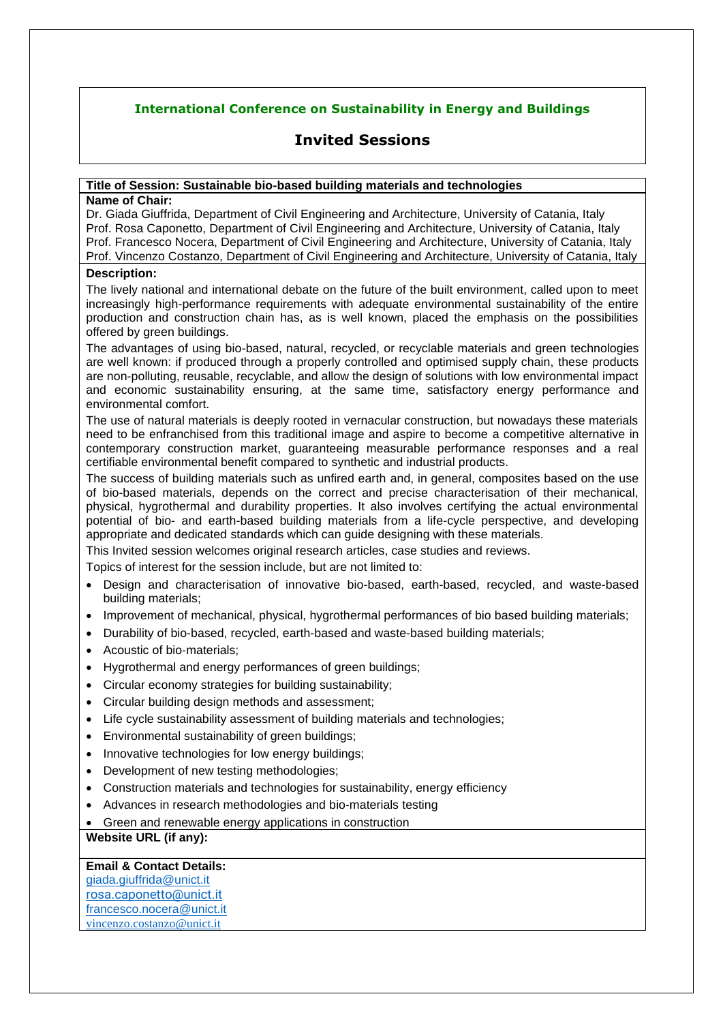# **International Conference on Sustainability in Energy and Buildings**

# **Invited Sessions**

#### **Title of Session: Sustainable bio-based building materials and technologies**

#### **Name of Chair:**

Dr. Giada Giuffrida, Department of Civil Engineering and Architecture, University of Catania, Italy Prof. Rosa Caponetto, Department of Civil Engineering and Architecture, University of Catania, Italy Prof. Francesco Nocera, Department of Civil Engineering and Architecture, University of Catania, Italy Prof. Vincenzo Costanzo, Department of Civil Engineering and Architecture, University of Catania, Italy

### **Description:**

The lively national and international debate on the future of the built environment, called upon to meet increasingly high-performance requirements with adequate environmental sustainability of the entire production and construction chain has, as is well known, placed the emphasis on the possibilities offered by green buildings.

The advantages of using bio-based, natural, recycled, or recyclable materials and green technologies are well known: if produced through a properly controlled and optimised supply chain, these products are non-polluting, reusable, recyclable, and allow the design of solutions with low environmental impact and economic sustainability ensuring, at the same time, satisfactory energy performance and environmental comfort.

The use of natural materials is deeply rooted in vernacular construction, but nowadays these materials need to be enfranchised from this traditional image and aspire to become a competitive alternative in contemporary construction market, guaranteeing measurable performance responses and a real certifiable environmental benefit compared to synthetic and industrial products.

The success of building materials such as unfired earth and, in general, composites based on the use of bio-based materials, depends on the correct and precise characterisation of their mechanical, physical, hygrothermal and durability properties. It also involves certifying the actual environmental potential of bio- and earth-based building materials from a life-cycle perspective, and developing appropriate and dedicated standards which can guide designing with these materials.

This Invited session welcomes original research articles, case studies and reviews.

Topics of interest for the session include, but are not limited to:

- Design and characterisation of innovative bio-based, earth-based, recycled, and waste-based building materials;
- Improvement of mechanical, physical, hygrothermal performances of bio based building materials;
- Durability of bio-based, recycled, earth-based and waste-based building materials;
- Acoustic of bio‐materials;
- Hygrothermal and energy performances of green buildings;
- Circular economy strategies for building sustainability;
- Circular building design methods and assessment;
- Life cycle sustainability assessment of building materials and technologies;
- Environmental sustainability of green buildings;
- Innovative technologies for low energy buildings;
- Development of new testing methodologies;
- Construction materials and technologies for sustainability, energy efficiency
- Advances in research methodologies and bio‐materials testing
- Green and renewable energy applications in construction

## **Website URL (if any):**

#### **Email & Contact Details:**

[giada.giuffrida@unict.it](mailto:giada.giuffrida@unict.it) [rosa.caponetto@unict.it](mailto:rosa.caponetto@unict.it) [francesco.nocera@unict.it](mailto:francesco.nocera@unict.it) vincenzo.costanzo@unict.it